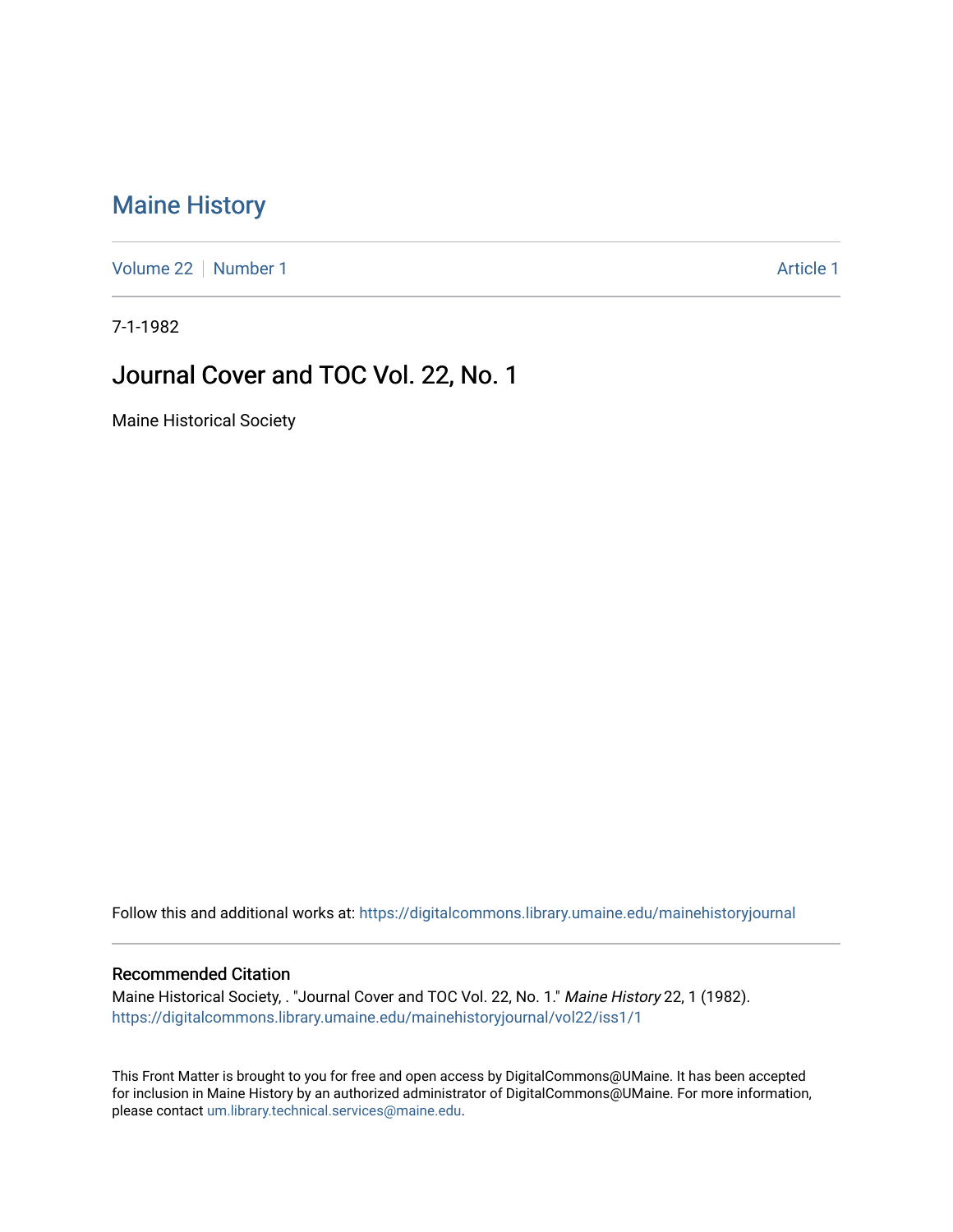# [Maine History](https://digitalcommons.library.umaine.edu/mainehistoryjournal)

[Volume 22](https://digitalcommons.library.umaine.edu/mainehistoryjournal/vol22) [Number 1](https://digitalcommons.library.umaine.edu/mainehistoryjournal/vol22/iss1) [Article 1](https://digitalcommons.library.umaine.edu/mainehistoryjournal/vol22/iss1/1) Article 1 Article 1 Article 1 Article 1 Article 1 Article 1

7-1-1982

# Journal Cover and TOC Vol. 22, No. 1

Maine Historical Society

Follow this and additional works at: [https://digitalcommons.library.umaine.edu/mainehistoryjournal](https://digitalcommons.library.umaine.edu/mainehistoryjournal?utm_source=digitalcommons.library.umaine.edu%2Fmainehistoryjournal%2Fvol22%2Fiss1%2F1&utm_medium=PDF&utm_campaign=PDFCoverPages) 

#### Recommended Citation

Maine Historical Society, . "Journal Cover and TOC Vol. 22, No. 1." Maine History 22, 1 (1982). [https://digitalcommons.library.umaine.edu/mainehistoryjournal/vol22/iss1/1](https://digitalcommons.library.umaine.edu/mainehistoryjournal/vol22/iss1/1?utm_source=digitalcommons.library.umaine.edu%2Fmainehistoryjournal%2Fvol22%2Fiss1%2F1&utm_medium=PDF&utm_campaign=PDFCoverPages)

This Front Matter is brought to you for free and open access by DigitalCommons@UMaine. It has been accepted for inclusion in Maine History by an authorized administrator of DigitalCommons@UMaine. For more information, please contact [um.library.technical.services@maine.edu.](mailto:um.library.technical.services@maine.edu)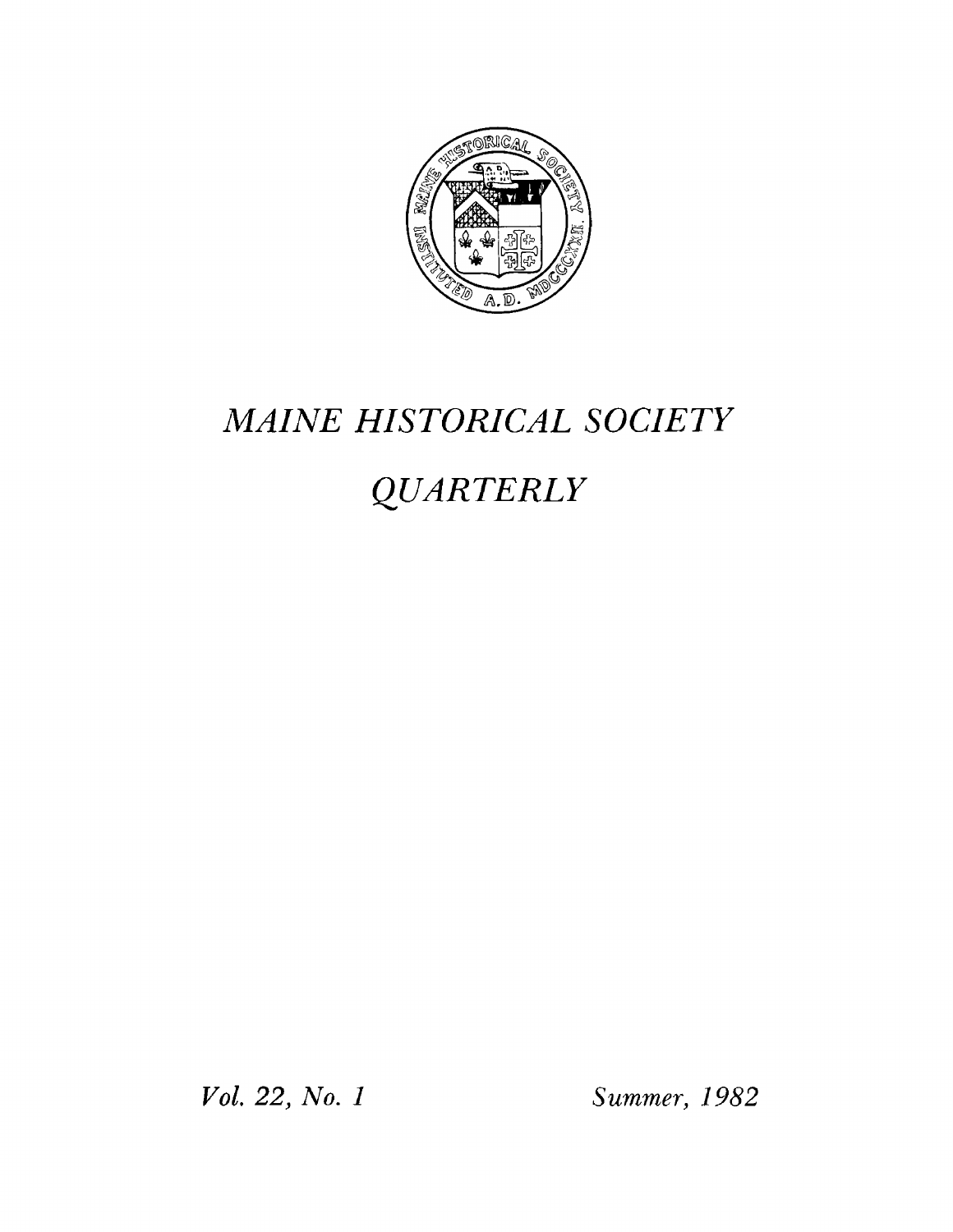

# *MAINE HISTORICAL SOCIETY*

# *QUARTERLY*

*Vol. 22, No. 1 Summer, 1982*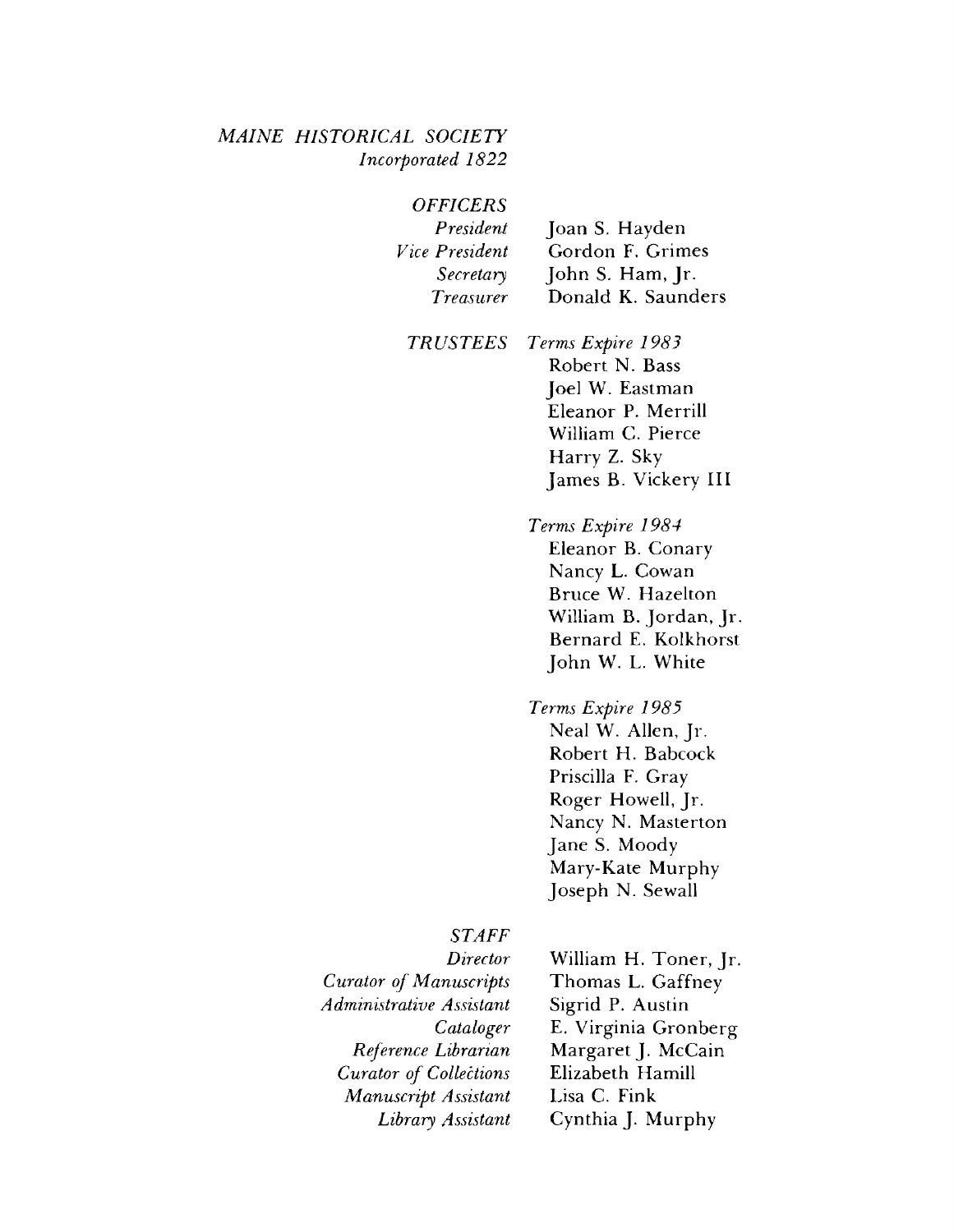#### *M AINE HISTORICAL SOCIETY Incorporated 1822*

| <b>OFFICERS</b>  |                    |
|------------------|--------------------|
| President        | Joan S. Hayden     |
| Vice President   | Gordon F. Grimes   |
| Secretary        | John S. Ham, Jr.   |
| <b>Treasurer</b> | Donald K. Saunders |
|                  |                    |

*TRUSTEES Terms Expire 1983* **Robert N. Bass Joel W. Eastman Eleanor P. Merrill William C. Pierce Harry Z. Sky**

> *Terms Expire 1984* **Eleanor B. Conary Nancy L. Cowan Bruce W. Hazelton William B. Jordan, Jr. Bernard E. Kolkhorst John W. L. White**

**James B. Vickery III**

*Terms Expire 1985* **Neal W. Allen, Jr. Robert H. Babcock Priscilla F. Gray Roger Howell, Jr. Nancy N. Masterton Jane S. Moody Mary-Kate Murphy Joseph N. Sewall**

#### *STAFF*

*Director Curator of Manuscripts A dministrative A ssistant Cataloger Reference Librarian Curator of Collections Manuscript Assistant Library Assistant* **William H. Toner, Jr. Thomas L. Gaffney Sigrid P. Austin E. Virginia Gronberg Margaret J. McCain Elizabeth Hamill Lisa C. Fink Cynthia J. Murphy**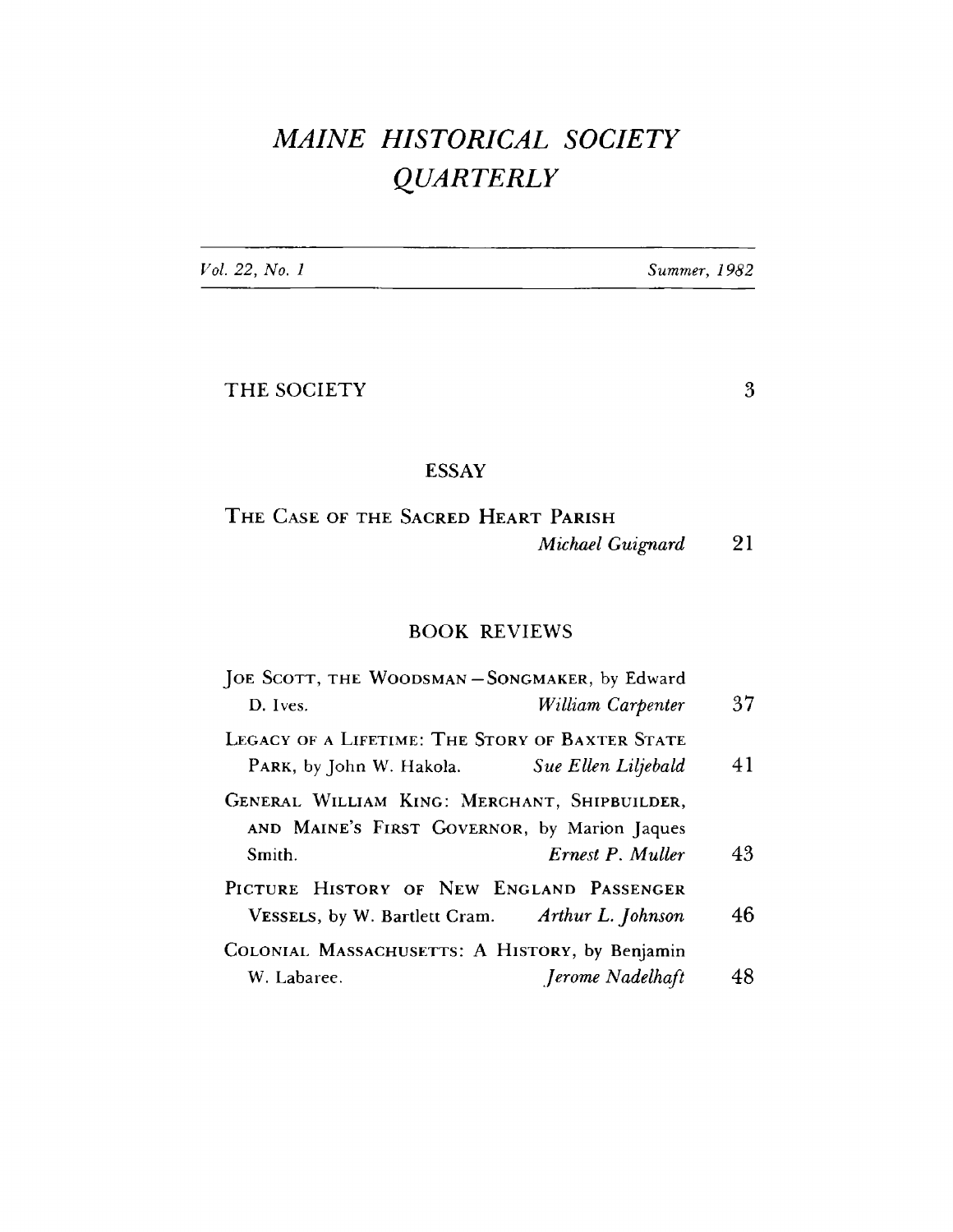# *MAINE HISTORICAL SOCIETY QUARTERLY*

Vol. 22, No. 1

Summer, 1982

THE SOCIETY 3

## **ESSAY**

THE CASE OF THE SACRED HEART PARISH *Michael Guignard* **21**

### **BOOK REVIEWS**

| JOE SCOTT, THE WOODSMAN - SONGMAKER, by Edward                                                         |                     |    |
|--------------------------------------------------------------------------------------------------------|---------------------|----|
| D. Ives.                                                                                               | William Carpenter   | 37 |
| LEGACY OF A LIFETIME: THE STORY OF BAXTER STATE<br>PARK, by John W. Hakola.                            | Sue Ellen Liljebald | 41 |
| GENERAL WILLIAM KING: MERCHANT, SHIPBUILDER,<br>AND MAINE'S FIRST GOVERNOR, by Marion Jaques<br>Smith. | Ernest P. Muller    | 43 |
| PICTURE HISTORY OF NEW ENGLAND PASSENGER<br>VESSELS, by W. Bartlett Cram. Arthur L. Johnson            |                     | 46 |
| COLONIAL MASSACHUSETTS: A HISTORY, by Benjamin<br>W. Labaree.                                          | Jerome Nadelhaft    | 48 |